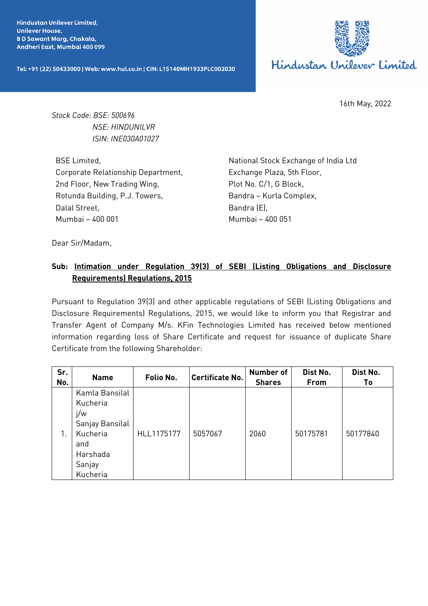**Hindustan Unilever Limited. Unilever House, BD Sawant Marg, Chakala,** Andheri East, Mumbai 400 099

Tel: +91 (22) 50433000 | Web: www.hul.co.in | CIN: L15140MH1933PLC002030



16th May, 2022

*Stock Code: BSE: 500696 NSE: HINDUNILVR ISIN: INE030A01027*

BSE Limited, Corporate Relationship Department, 2nd Floor, New Trading Wing, Rotunda Building, P.J. Towers, Dalal Street, Mumbai – 400 001

National Stock Exchange of India Ltd Exchange Plaza, 5th Floor, Plot No. C/1, G Block, Bandra – Kurla Complex, Bandra (E), Mumbai – 400 051

Dear Sir/Madam,

## **Sub: Intimation under Regulation 39(3) of SEBI (Listing Obligations and Disclosure Requirements) Regulations, 2015**

Pursuant to Regulation 39(3) and other applicable regulations of SEBI (Listing Obligations and Disclosure Requirements) Regulations, 2015, we would like to inform you that Registrar and Transfer Agent of Company M/s. KFin Technologies Limited has received below mentioned information regarding loss of Share Certificate and request for issuance of duplicate Share Certificate from the following Shareholder:

| Sr.<br>No. | <b>Name</b>                                                                                               | Folio No.  | <b>Certificate No.</b> | <b>Number of</b><br><b>Shares</b> | Dist No.<br>From | Dist No.<br>Τo |
|------------|-----------------------------------------------------------------------------------------------------------|------------|------------------------|-----------------------------------|------------------|----------------|
|            | Kamla Bansilal<br>Kucheria<br>j/w<br>Sanjay Bansilal<br>Kucheria<br>and<br>Harshada<br>Sanjay<br>Kucheria | HLL1175177 | 5057067                | 2060                              | 50175781         | 50177840       |